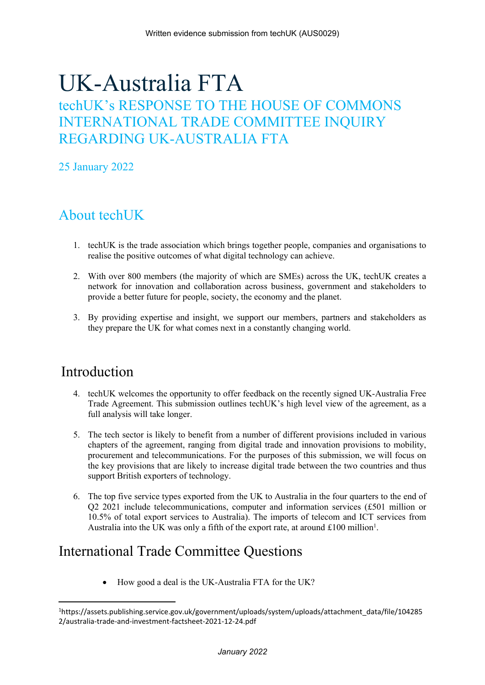# UK-Australia FTA

## techUK's RESPONSE TO THE HOUSE OF COMMONS INTERNATIONAL TRADE COMMITTEE INQUIRY REGARDING UK-AUSTRALIA FTA

25 January 2022

## About techUK

- 1. techUK is the trade association which brings together people, companies and organisations to realise the positive outcomes of what digital technology can achieve.
- 2. With over 800 members (the majority of which are SMEs) across the UK, techUK creates a network for innovation and collaboration across business, government and stakeholders to provide a better future for people, society, the economy and the planet.
- 3. By providing expertise and insight, we support our members, partners and stakeholders as they prepare the UK for what comes next in a constantly changing world.

### Introduction

- 4. techUK welcomes the opportunity to offer feedback on the recently signed UK-Australia Free Trade Agreement. This submission outlines techUK's high level view of the agreement, as a full analysis will take longer.
- 5. The tech sector is likely to benefit from a number of different provisions included in various chapters of the agreement, ranging from digital trade and innovation provisions to mobility, procurement and telecommunications. For the purposes of this submission, we will focus on the key provisions that are likely to increase digital trade between the two countries and thus support British exporters of technology.
- 6. The top five service types exported from the UK to Australia in the four quarters to the end of Q2 2021 include telecommunications, computer and information services (£501 million or 10.5% of total export services to Australia). The imports of telecom and ICT services from Australia into the UK was only a fifth of the export rate, at around £100 million<sup>1</sup>.

### International Trade Committee Questions

How good a deal is the UK-Australia FTA for the UK?

<sup>1</sup>https://assets.publishing.service.gov.uk/government/uploads/system/uploads/attachment\_data/file/104285 2/australia-trade-and-investment-factsheet-2021-12-24.pdf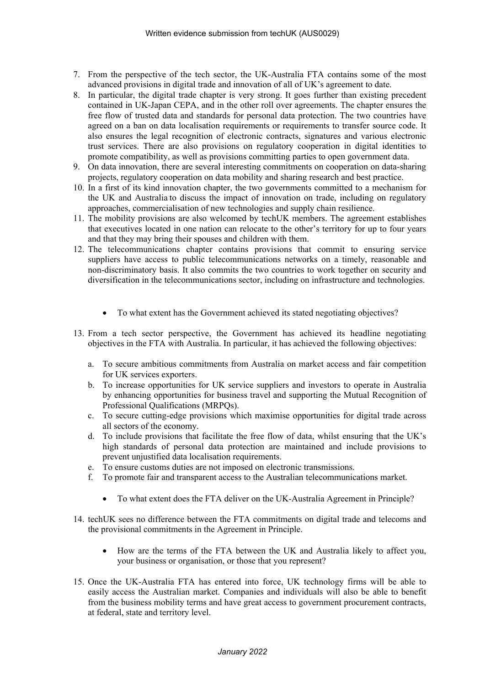- 7. From the perspective of the tech sector, the UK-Australia FTA contains some of the most advanced provisions in digital trade and innovation of all of UK's agreement to date.
- 8. In particular, the digital trade chapter is very strong. It goes further than existing precedent contained in UK-Japan CEPA, and in the other roll over agreements. The chapter ensures the free flow of trusted data and standards for personal data protection. The two countries have agreed on a ban on data localisation requirements or requirements to transfer source code. It also ensures the legal recognition of electronic contracts, signatures and various electronic trust services. There are also provisions on regulatory cooperation in digital identities to promote compatibility, as well as provisions committing parties to open government data.
- 9. On data innovation, there are several interesting commitments on cooperation on data-sharing projects, regulatory cooperation on data mobility and sharing research and best practice.
- 10. In a first of its kind innovation chapter, the two governments committed to a mechanism for the UK and Australia to discuss the impact of innovation on trade, including on regulatory approaches, commercialisation of new technologies and supply chain resilience.
- 11. The mobility provisions are also welcomed by techUK members. The agreement establishes that executives located in one nation can relocate to the other's territory for up to four years and that they may bring their spouses and children with them.
- 12. The telecommunications chapter contains provisions that commit to ensuring service suppliers have access to public telecommunications networks on a timely, reasonable and non-discriminatory basis. It also commits the two countries to work together on security and diversification in the telecommunications sector, including on infrastructure and technologies.
	- To what extent has the Government achieved its stated negotiating objectives?
- 13. From a tech sector perspective, the Government has achieved its headline negotiating objectives in the FTA with Australia. In particular, it has achieved the following objectives:
	- a. To secure ambitious commitments from Australia on market access and fair competition for UK services exporters.
	- b. To increase opportunities for UK service suppliers and investors to operate in Australia by enhancing opportunities for business travel and supporting the Mutual Recognition of Professional Qualifications (MRPQs).
	- c. To secure cutting-edge provisions which maximise opportunities for digital trade across all sectors of the economy.
	- d. To include provisions that facilitate the free flow of data, whilst ensuring that the UK's high standards of personal data protection are maintained and include provisions to prevent unjustified data localisation requirements.
	- e. To ensure customs duties are not imposed on electronic transmissions.
	- f. To promote fair and transparent access to the Australian telecommunications market.
		- To what extent does the FTA deliver on the UK-Australia Agreement in Principle?
- 14. techUK sees no difference between the FTA commitments on digital trade and telecoms and the provisional commitments in the Agreement in Principle.
	- How are the terms of the FTA between the UK and Australia likely to affect you, your business or organisation, or those that you represent?
- 15. Once the UK-Australia FTA has entered into force, UK technology firms will be able to easily access the Australian market. Companies and individuals will also be able to benefit from the business mobility terms and have great access to government procurement contracts, at federal, state and territory level.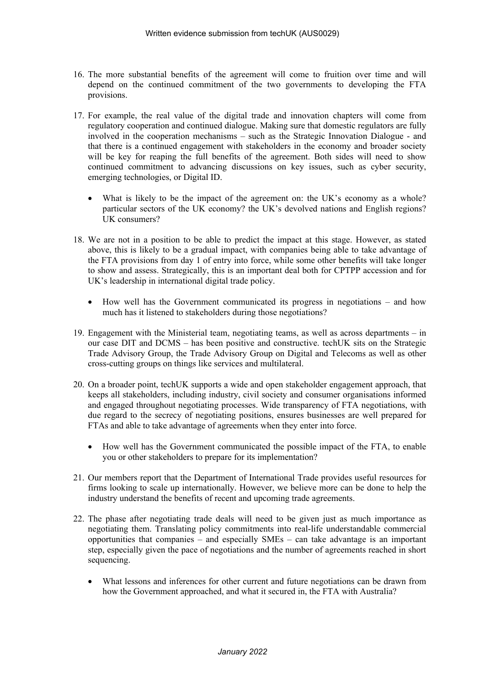- 16. The more substantial benefits of the agreement will come to fruition over time and will depend on the continued commitment of the two governments to developing the FTA provisions.
- 17. For example, the real value of the digital trade and innovation chapters will come from regulatory cooperation and continued dialogue. Making sure that domestic regulators are fully involved in the cooperation mechanisms – such as the Strategic Innovation Dialogue - and that there is a continued engagement with stakeholders in the economy and broader society will be key for reaping the full benefits of the agreement. Both sides will need to show continued commitment to advancing discussions on key issues, such as cyber security, emerging technologies, or Digital ID.
	- What is likely to be the impact of the agreement on: the UK's economy as a whole? particular sectors of the UK economy? the UK's devolved nations and English regions? UK consumers?
- 18. We are not in a position to be able to predict the impact at this stage. However, as stated above, this is likely to be a gradual impact, with companies being able to take advantage of the FTA provisions from day 1 of entry into force, while some other benefits will take longer to show and assess. Strategically, this is an important deal both for CPTPP accession and for UK's leadership in international digital trade policy.
	- How well has the Government communicated its progress in negotiations and how much has it listened to stakeholders during those negotiations?
- 19. Engagement with the Ministerial team, negotiating teams, as well as across departments in our case DIT and DCMS – has been positive and constructive. techUK sits on the Strategic Trade Advisory Group, the Trade Advisory Group on Digital and Telecoms as well as other cross-cutting groups on things like services and multilateral.
- 20. On a broader point, techUK supports a wide and open stakeholder engagement approach, that keeps all stakeholders, including industry, civil society and consumer organisations informed and engaged throughout negotiating processes. Wide transparency of FTA negotiations, with due regard to the secrecy of negotiating positions, ensures businesses are well prepared for FTAs and able to take advantage of agreements when they enter into force.
	- How well has the Government communicated the possible impact of the FTA, to enable you or other stakeholders to prepare for its implementation?
- 21. Our members report that the Department of International Trade provides useful resources for firms looking to scale up internationally. However, we believe more can be done to help the industry understand the benefits of recent and upcoming trade agreements.
- 22. The phase after negotiating trade deals will need to be given just as much importance as negotiating them. Translating policy commitments into real-life understandable commercial opportunities that companies – and especially SMEs – can take advantage is an important step, especially given the pace of negotiations and the number of agreements reached in short sequencing.
	- What lessons and inferences for other current and future negotiations can be drawn from how the Government approached, and what it secured in, the FTA with Australia?